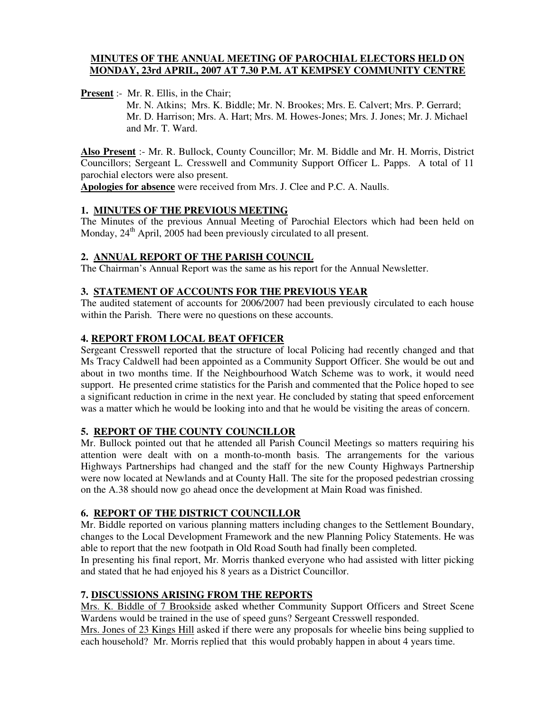## **MINUTES OF THE ANNUAL MEETING OF PAROCHIAL ELECTORS HELD ON MONDAY, 23rd APRIL, 2007 AT 7.30 P.M. AT KEMPSEY COMMUNITY CENTRE**

**Present** :- Mr. R. Ellis, in the Chair;

Mr. N. Atkins; Mrs. K. Biddle; Mr. N. Brookes; Mrs. E. Calvert; Mrs. P. Gerrard; Mr. D. Harrison; Mrs. A. Hart; Mrs. M. Howes-Jones; Mrs. J. Jones; Mr. J. Michael and Mr. T. Ward.

**Also Present** :- Mr. R. Bullock, County Councillor; Mr. M. Biddle and Mr. H. Morris, District Councillors; Sergeant L. Cresswell and Community Support Officer L. Papps. A total of 11 parochial electors were also present.

**Apologies for absence** were received from Mrs. J. Clee and P.C. A. Naulls.

## **1. MINUTES OF THE PREVIOUS MEETING**

The Minutes of the previous Annual Meeting of Parochial Electors which had been held on Monday, 24<sup>th</sup> April, 2005 had been previously circulated to all present.

## **2. ANNUAL REPORT OF THE PARISH COUNCIL**

The Chairman's Annual Report was the same as his report for the Annual Newsletter.

## **3. STATEMENT OF ACCOUNTS FOR THE PREVIOUS YEAR**

The audited statement of accounts for 2006/2007 had been previously circulated to each house within the Parish. There were no questions on these accounts.

## **4. REPORT FROM LOCAL BEAT OFFICER**

Sergeant Cresswell reported that the structure of local Policing had recently changed and that Ms Tracy Caldwell had been appointed as a Community Support Officer. She would be out and about in two months time. If the Neighbourhood Watch Scheme was to work, it would need support. He presented crime statistics for the Parish and commented that the Police hoped to see a significant reduction in crime in the next year. He concluded by stating that speed enforcement was a matter which he would be looking into and that he would be visiting the areas of concern.

### **5. REPORT OF THE COUNTY COUNCILLOR**

Mr. Bullock pointed out that he attended all Parish Council Meetings so matters requiring his attention were dealt with on a month-to-month basis. The arrangements for the various Highways Partnerships had changed and the staff for the new County Highways Partnership were now located at Newlands and at County Hall. The site for the proposed pedestrian crossing on the A.38 should now go ahead once the development at Main Road was finished.

### **6. REPORT OF THE DISTRICT COUNCILLOR**

Mr. Biddle reported on various planning matters including changes to the Settlement Boundary, changes to the Local Development Framework and the new Planning Policy Statements. He was able to report that the new footpath in Old Road South had finally been completed.

In presenting his final report, Mr. Morris thanked everyone who had assisted with litter picking and stated that he had enjoyed his 8 years as a District Councillor.

# **7. DISCUSSIONS ARISING FROM THE REPORTS**

Mrs. K. Biddle of 7 Brookside asked whether Community Support Officers and Street Scene Wardens would be trained in the use of speed guns? Sergeant Cresswell responded.

Mrs. Jones of 23 Kings Hill asked if there were any proposals for wheelie bins being supplied to each household? Mr. Morris replied that this would probably happen in about 4 years time.